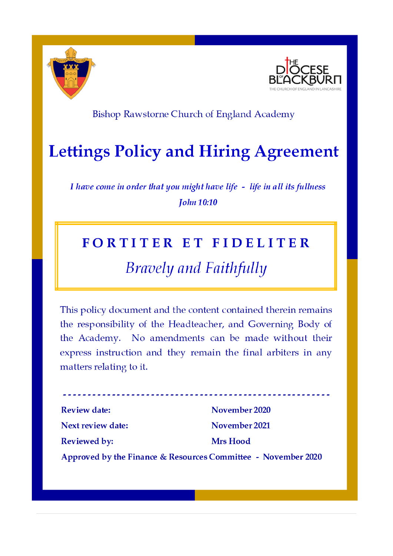



### Bishop Rawstorne Church of England Academy

# **Lettings Policy and Hiring Agreement**

I have come in order that you might have life - life in all its fullness **John 10:10** 

### FORTITER ET FIDELITER

## **Bravely and Faithfully**

This policy document and the content contained therein remains the responsibility of the Headteacher, and Governing Body of the Academy. No amendments can be made without their express instruction and they remain the final arbiters in any matters relating to it.

. <u>. . . . . . . . . . . . . . . . .</u> . . **Review date:** November 2020 November 2021 Next review date: **Reviewed by: Mrs Hood** Approved by the Finance & Resources Committee - November 2020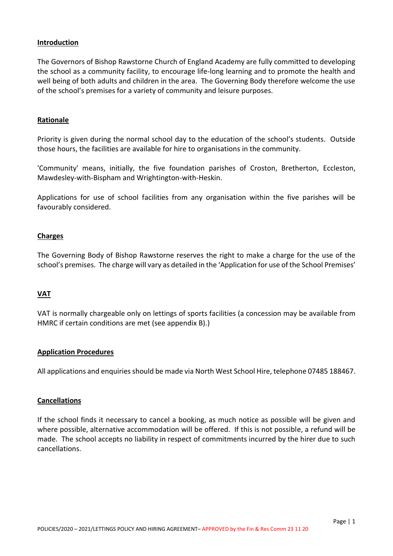#### **Introduction**

The Governors of Bishop Rawstorne Church of England Academy are fully committed to developing the school as a community facility, to encourage life-long learning and to promote the health and well being of both adults and children in the area. The Governing Body therefore welcome the use of the school's premises for a variety of community and leisure purposes.

#### **Rationale**

Priority is given during the normal school day to the education of the school's students. Outside those hours, the facilities are available for hire to organisations in the community.

'Community' means, initially, the five foundation parishes of Croston, Bretherton, Eccleston, Mawdesley-with-Bispham and Wrightington-with-Heskin.

Applications for use of school facilities from any organisation within the five parishes will be favourably considered.

#### **Charges**

The Governing Body of Bishop Rawstorne reserves the right to make a charge for the use of the school's premises. The charge will vary as detailed in the 'Application for use of the School Premises'

#### **VAT**

VAT is normally chargeable only on lettings of sports facilities (a concession may be available from HMRC if certain conditions are met (see appendix B).)

#### **Application Procedures**

All applications and enquiries should be made via North West School Hire, telephone 07485 188467.

#### **Cancellations**

If the school finds it necessary to cancel a booking, as much notice as possible will be given and where possible, alternative accommodation will be offered. If this is not possible, a refund will be made. The school accepts no liability in respect of commitments incurred by the hirer due to such cancellations.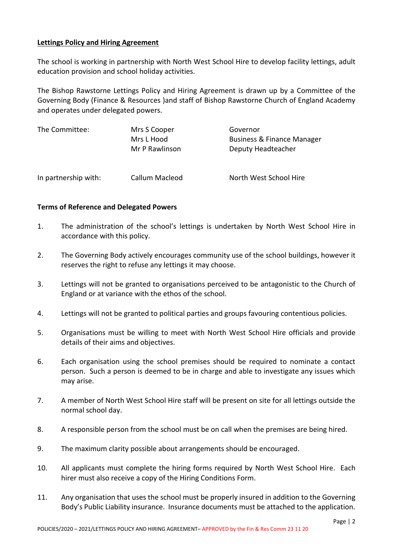#### **Lettings Policy and Hiring Agreement**

The school is working in partnership with North West School Hire to develop facility lettings, adult education provision and school holiday activities.

The Bishop Rawstorne Lettings Policy and Hiring Agreement is drawn up by a Committee of the Governing Body (Finance & Resources )and staff of Bishop Rawstorne Church of England Academy and operates under delegated powers.

| The Committee:       | Mrs S Cooper<br>Mrs L Hood<br>Mr P Rawlinson | Governor<br>Business & Finance Manager<br>Deputy Headteacher |
|----------------------|----------------------------------------------|--------------------------------------------------------------|
| In partnership with: | Callum Macleod                               | North West School Hire                                       |

#### **Terms of Reference and Delegated Powers**

- 1. The administration of the school's lettings is undertaken by North West School Hire in accordance with this policy.
- 2. The Governing Body actively encourages community use of the school buildings, however it reserves the right to refuse any lettings it may choose.
- 3. Lettings will not be granted to organisations perceived to be antagonistic to the Church of England or at variance with the ethos of the school.
- 4. Lettings will not be granted to political parties and groups favouring contentious policies.
- 5. Organisations must be willing to meet with North West School Hire officials and provide details of their aims and objectives.
- 6. Each organisation using the school premises should be required to nominate a contact person. Such a person is deemed to be in charge and able to investigate any issues which may arise.
- 7. A member of North West School Hire staff will be present on site for all lettings outside the normal school day.
- 8. A responsible person from the school must be on call when the premises are being hired.
- 9. The maximum clarity possible about arrangements should be encouraged.
- 10. All applicants must complete the hiring forms required by North West School Hire. Each hirer must also receive a copy of the Hiring Conditions Form.
- 11. Any organisation that uses the school must be properly insured in addition to the Governing Body's Public Liability insurance. Insurance documents must be attached to the application.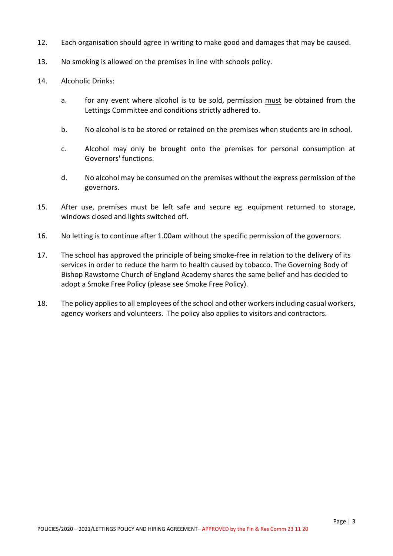- 12. Each organisation should agree in writing to make good and damages that may be caused.
- 13. No smoking is allowed on the premises in line with schools policy.
- 14. Alcoholic Drinks:
	- a. for any event where alcohol is to be sold, permission must be obtained from the Lettings Committee and conditions strictly adhered to.
	- b. No alcohol is to be stored or retained on the premises when students are in school.
	- c. Alcohol may only be brought onto the premises for personal consumption at Governors' functions.
	- d. No alcohol may be consumed on the premises without the express permission of the governors.
- 15. After use, premises must be left safe and secure eg. equipment returned to storage, windows closed and lights switched off.
- 16. No letting is to continue after 1.00am without the specific permission of the governors.
- 17. The school has approved the principle of being smoke-free in relation to the delivery of its services in order to reduce the harm to health caused by tobacco. The Governing Body of Bishop Rawstorne Church of England Academy shares the same belief and has decided to adopt a Smoke Free Policy (please see Smoke Free Policy).
- 18. The policy applies to all employees of the school and other workers including casual workers, agency workers and volunteers. The policy also applies to visitors and contractors.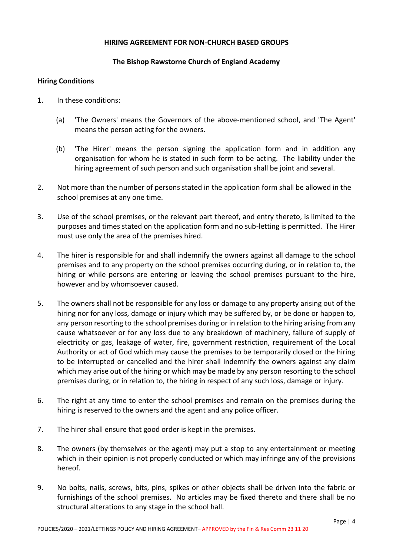#### **HIRING AGREEMENT FOR NON-CHURCH BASED GROUPS**

#### **The Bishop Rawstorne Church of England Academy**

#### **Hiring Conditions**

- 1. In these conditions:
	- (a) 'The Owners' means the Governors of the above-mentioned school, and 'The Agent' means the person acting for the owners.
	- (b) 'The Hirer' means the person signing the application form and in addition any organisation for whom he is stated in such form to be acting. The liability under the hiring agreement of such person and such organisation shall be joint and several.
- 2. Not more than the number of persons stated in the application form shall be allowed in the school premises at any one time.
- 3. Use of the school premises, or the relevant part thereof, and entry thereto, is limited to the purposes and times stated on the application form and no sub-letting is permitted. The Hirer must use only the area of the premises hired.
- 4. The hirer is responsible for and shall indemnify the owners against all damage to the school premises and to any property on the school premises occurring during, or in relation to, the hiring or while persons are entering or leaving the school premises pursuant to the hire, however and by whomsoever caused.
- 5. The owners shall not be responsible for any loss or damage to any property arising out of the hiring nor for any loss, damage or injury which may be suffered by, or be done or happen to, any person resorting to the school premises during or in relation to the hiring arising from any cause whatsoever or for any loss due to any breakdown of machinery, failure of supply of electricity or gas, leakage of water, fire, government restriction, requirement of the Local Authority or act of God which may cause the premises to be temporarily closed or the hiring to be interrupted or cancelled and the hirer shall indemnify the owners against any claim which may arise out of the hiring or which may be made by any person resorting to the school premises during, or in relation to, the hiring in respect of any such loss, damage or injury.
- 6. The right at any time to enter the school premises and remain on the premises during the hiring is reserved to the owners and the agent and any police officer.
- 7. The hirer shall ensure that good order is kept in the premises.
- 8. The owners (by themselves or the agent) may put a stop to any entertainment or meeting which in their opinion is not properly conducted or which may infringe any of the provisions hereof.
- 9. No bolts, nails, screws, bits, pins, spikes or other objects shall be driven into the fabric or furnishings of the school premises. No articles may be fixed thereto and there shall be no structural alterations to any stage in the school hall.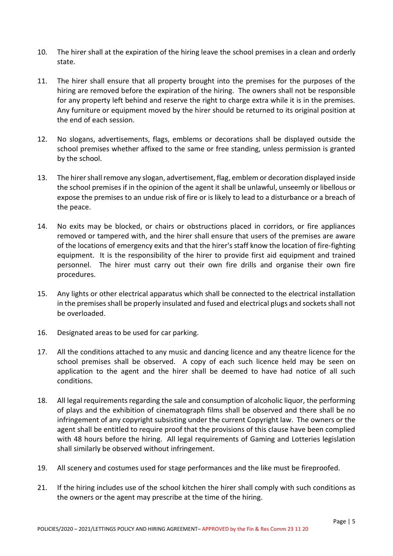- 10. The hirer shall at the expiration of the hiring leave the school premises in a clean and orderly state.
- 11. The hirer shall ensure that all property brought into the premises for the purposes of the hiring are removed before the expiration of the hiring. The owners shall not be responsible for any property left behind and reserve the right to charge extra while it is in the premises. Any furniture or equipment moved by the hirer should be returned to its original position at the end of each session.
- 12. No slogans, advertisements, flags, emblems or decorations shall be displayed outside the school premises whether affixed to the same or free standing, unless permission is granted by the school.
- 13. The hirer shall remove any slogan, advertisement, flag, emblem or decoration displayed inside the school premises if in the opinion of the agent it shall be unlawful, unseemly or libellous or expose the premises to an undue risk of fire or is likely to lead to a disturbance or a breach of the peace.
- 14. No exits may be blocked, or chairs or obstructions placed in corridors, or fire appliances removed or tampered with, and the hirer shall ensure that users of the premises are aware of the locations of emergency exits and that the hirer's staff know the location of fire-fighting equipment. It is the responsibility of the hirer to provide first aid equipment and trained personnel. The hirer must carry out their own fire drills and organise their own fire procedures.
- 15. Any lights or other electrical apparatus which shall be connected to the electrical installation in the premises shall be properly insulated and fused and electrical plugs and sockets shall not be overloaded.
- 16. Designated areas to be used for car parking.
- 17. All the conditions attached to any music and dancing licence and any theatre licence for the school premises shall be observed. A copy of each such licence held may be seen on application to the agent and the hirer shall be deemed to have had notice of all such conditions.
- 18. All legal requirements regarding the sale and consumption of alcoholic liquor, the performing of plays and the exhibition of cinematograph films shall be observed and there shall be no infringement of any copyright subsisting under the current Copyright law. The owners or the agent shall be entitled to require proof that the provisions of this clause have been complied with 48 hours before the hiring. All legal requirements of Gaming and Lotteries legislation shall similarly be observed without infringement.
- 19. All scenery and costumes used for stage performances and the like must be fireproofed.
- 21. If the hiring includes use of the school kitchen the hirer shall comply with such conditions as the owners or the agent may prescribe at the time of the hiring.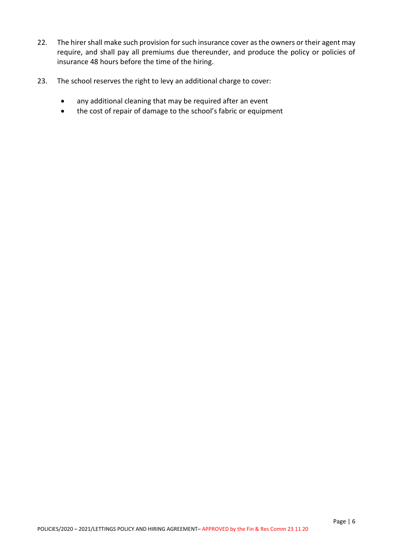- 22. The hirer shall make such provision for such insurance cover as the owners or their agent may require, and shall pay all premiums due thereunder, and produce the policy or policies of insurance 48 hours before the time of the hiring.
- 23. The school reserves the right to levy an additional charge to cover:
	- any additional cleaning that may be required after an event
	- the cost of repair of damage to the school's fabric or equipment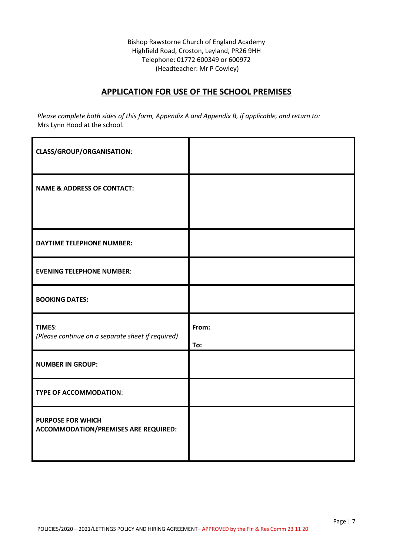Bishop Rawstorne Church of England Academy Highfield Road, Croston, Leyland, PR26 9HH Telephone: 01772 600349 or 600972 (Headteacher: Mr P Cowley)

#### **APPLICATION FOR USE OF THE SCHOOL PREMISES**

*Please complete both sides of this form, Appendix A and Appendix B, if applicable, and return to:* Mrs Lynn Hood at the school.

| <b>CLASS/GROUP/ORGANISATION:</b>                                        |       |
|-------------------------------------------------------------------------|-------|
| <b>NAME &amp; ADDRESS OF CONTACT:</b>                                   |       |
|                                                                         |       |
| <b>DAYTIME TELEPHONE NUMBER:</b>                                        |       |
| <b>EVENING TELEPHONE NUMBER:</b>                                        |       |
| <b>BOOKING DATES:</b>                                                   |       |
| TIMES:                                                                  | From: |
| (Please continue on a separate sheet if required)                       | To:   |
| <b>NUMBER IN GROUP:</b>                                                 |       |
| <b>TYPE OF ACCOMMODATION:</b>                                           |       |
| <b>PURPOSE FOR WHICH</b><br><b>ACCOMMODATION/PREMISES ARE REQUIRED:</b> |       |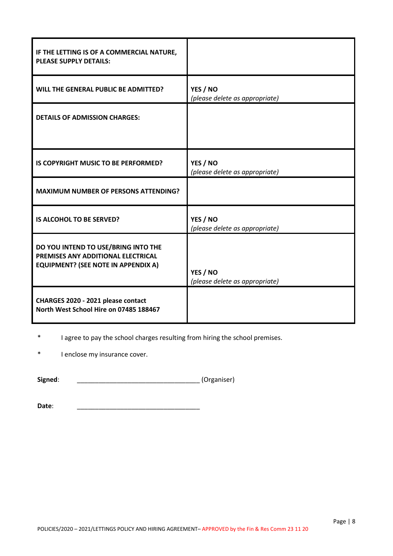| IF THE LETTING IS OF A COMMERCIAL NATURE,<br><b>PLEASE SUPPLY DETAILS:</b>                                              |                                            |
|-------------------------------------------------------------------------------------------------------------------------|--------------------------------------------|
| WILL THE GENERAL PUBLIC BE ADMITTED?                                                                                    | YES / NO<br>(please delete as appropriate) |
| <b>DETAILS OF ADMISSION CHARGES:</b>                                                                                    |                                            |
| IS COPYRIGHT MUSIC TO BE PERFORMED?                                                                                     | YES / NO<br>(please delete as appropriate) |
| <b>MAXIMUM NUMBER OF PERSONS ATTENDING?</b>                                                                             |                                            |
| <b>IS ALCOHOL TO BE SERVED?</b>                                                                                         | YES / NO<br>(please delete as appropriate) |
| DO YOU INTEND TO USE/BRING INTO THE<br>PREMISES ANY ADDITIONAL ELECTRICAL<br><b>EQUIPMENT? (SEE NOTE IN APPENDIX A)</b> | YES / NO<br>(please delete as appropriate) |
| CHARGES 2020 - 2021 please contact<br>North West School Hire on 07485 188467                                            |                                            |

\* I agree to pay the school charges resulting from hiring the school premises.

\* I enclose my insurance cover.

**Signed**: \_\_\_\_\_\_\_\_\_\_\_\_\_\_\_\_\_\_\_\_\_\_\_\_\_\_\_\_\_\_\_\_\_\_ (Organiser)

**Date**: \_\_\_\_\_\_\_\_\_\_\_\_\_\_\_\_\_\_\_\_\_\_\_\_\_\_\_\_\_\_\_\_\_\_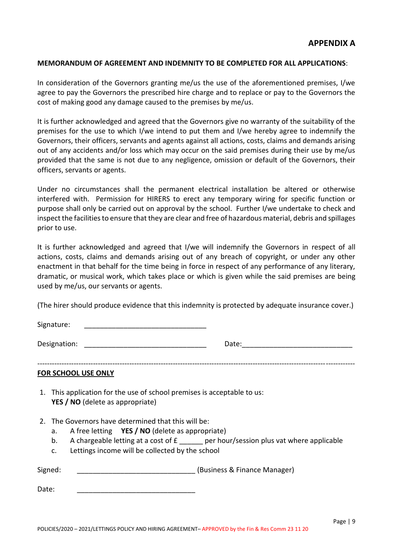#### **MEMORANDUM OF AGREEMENT AND INDEMNITY TO BE COMPLETED FOR ALL APPLICATIONS**:

In consideration of the Governors granting me/us the use of the aforementioned premises, I/we agree to pay the Governors the prescribed hire charge and to replace or pay to the Governors the cost of making good any damage caused to the premises by me/us.

It is further acknowledged and agreed that the Governors give no warranty of the suitability of the premises for the use to which I/we intend to put them and I/we hereby agree to indemnify the Governors, their officers, servants and agents against all actions, costs, claims and demands arising out of any accidents and/or loss which may occur on the said premises during their use by me/us provided that the same is not due to any negligence, omission or default of the Governors, their officers, servants or agents.

Under no circumstances shall the permanent electrical installation be altered or otherwise interfered with. Permission for HIRERS to erect any temporary wiring for specific function or purpose shall only be carried out on approval by the school. Further I/we undertake to check and inspect the facilities to ensure that they are clear and free of hazardous material, debris and spillages prior to use.

It is further acknowledged and agreed that I/we will indemnify the Governors in respect of all actions, costs, claims and demands arising out of any breach of copyright, or under any other enactment in that behalf for the time being in force in respect of any performance of any literary, dramatic, or musical work, which takes place or which is given while the said premises are being used by me/us, our servants or agents.

(The hirer should produce evidence that this indemnity is protected by adequate insurance cover.)

Signature:

Designation: \_\_\_\_\_\_\_\_\_\_\_\_\_\_\_\_\_\_\_\_\_\_\_\_\_\_\_\_\_\_\_ Date:\_\_\_\_\_\_\_\_\_\_\_\_\_\_\_\_\_\_\_\_\_\_\_\_\_\_\_\_

#### **FOR SCHOOL USE ONLY**

- 1. This application for the use of school premises is acceptable to us: **YES / NO** (delete as appropriate)
- 2. The Governors have determined that this will be:
	- a. A free letting **YES / NO** (delete as appropriate)
	- b. A chargeable letting at a cost of  $E_$  \_\_\_\_\_\_ per hour/session plus vat where applicable
	- c. Lettings income will be collected by the school

| Signed: |  | (Business & Finance Manager) |
|---------|--|------------------------------|
|---------|--|------------------------------|

Date: \_\_\_\_\_\_\_\_\_\_\_\_\_\_\_\_\_\_\_\_\_\_\_\_\_\_\_\_\_\_